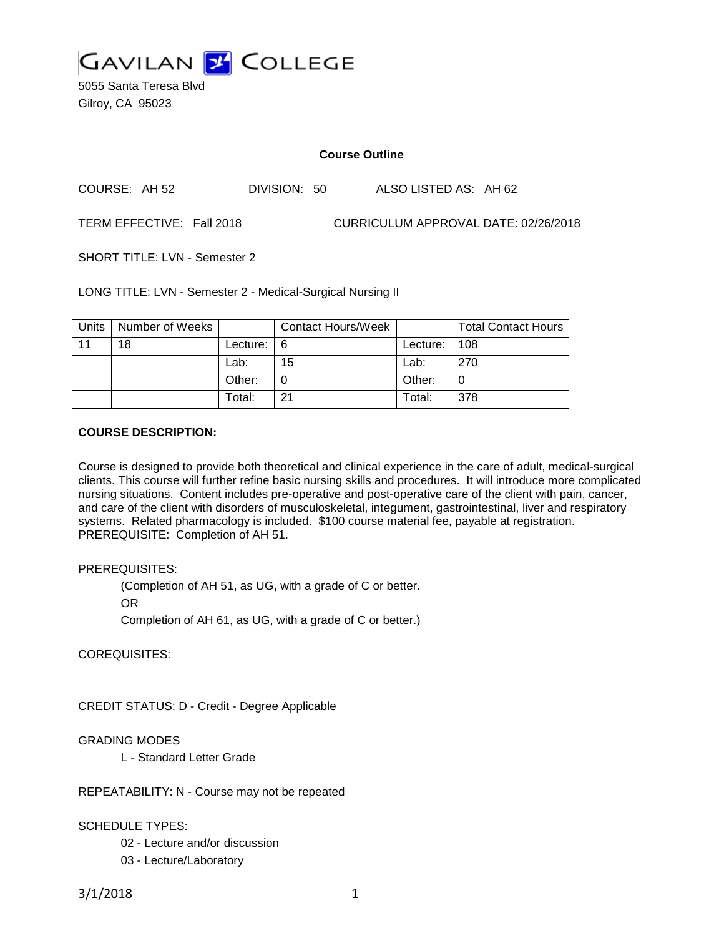

5055 Santa Teresa Blvd Gilroy, CA 95023

#### **Course Outline**

COURSE: AH 52 DIVISION: 50 ALSO LISTED AS: AH 62

TERM EFFECTIVE: Fall 2018 CURRICULUM APPROVAL DATE: 02/26/2018

SHORT TITLE: LVN - Semester 2

LONG TITLE: LVN - Semester 2 - Medical-Surgical Nursing II

| Units | Number of Weeks |               | <b>Contact Hours/Week</b> |              | <b>Total Contact Hours</b> |
|-------|-----------------|---------------|---------------------------|--------------|----------------------------|
| 11    | 18              | Lecture: $16$ |                           | Lecture: 108 |                            |
|       |                 | Lab:          | 15                        | Lab:         | 270                        |
|       |                 | Other:        |                           | Other:       |                            |
|       |                 | Total:        | 21                        | Total:       | 378                        |

### **COURSE DESCRIPTION:**

Course is designed to provide both theoretical and clinical experience in the care of adult, medical-surgical clients. This course will further refine basic nursing skills and procedures. It will introduce more complicated nursing situations. Content includes pre-operative and post-operative care of the client with pain, cancer, and care of the client with disorders of musculoskeletal, integument, gastrointestinal, liver and respiratory systems. Related pharmacology is included. \$100 course material fee, payable at registration. PREREQUISITE: Completion of AH 51.

## PREREQUISITES:

(Completion of AH 51, as UG, with a grade of C or better.

OR

Completion of AH 61, as UG, with a grade of C or better.)

COREQUISITES:

CREDIT STATUS: D - Credit - Degree Applicable

## GRADING MODES

L - Standard Letter Grade

REPEATABILITY: N - Course may not be repeated

#### SCHEDULE TYPES:

02 - Lecture and/or discussion

03 - Lecture/Laboratory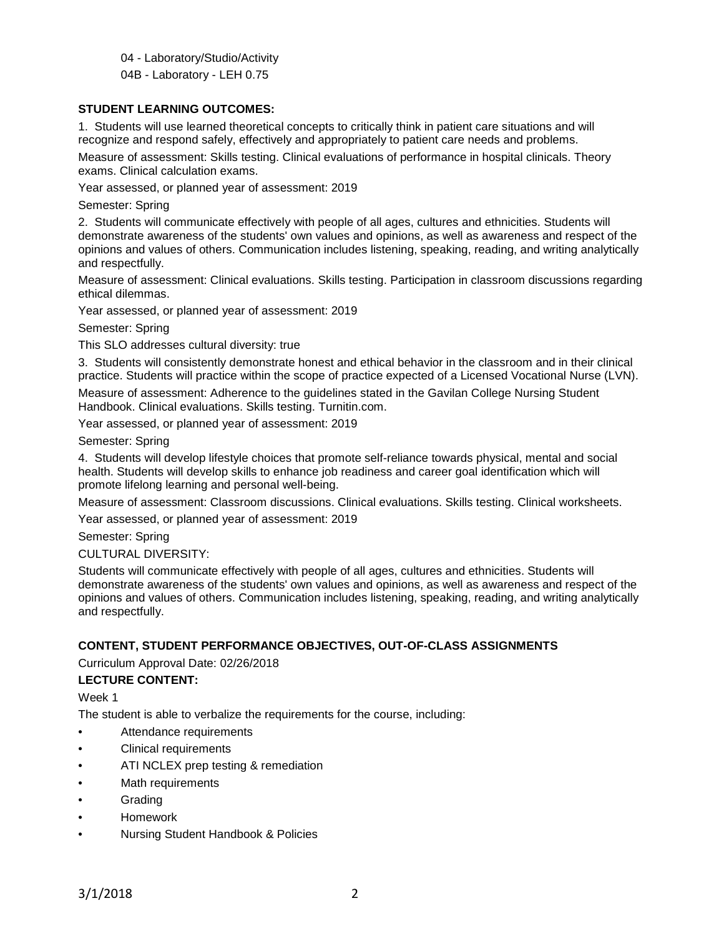04 - Laboratory/Studio/Activity

04B - Laboratory - LEH 0.75

## **STUDENT LEARNING OUTCOMES:**

1. Students will use learned theoretical concepts to critically think in patient care situations and will recognize and respond safely, effectively and appropriately to patient care needs and problems.

Measure of assessment: Skills testing. Clinical evaluations of performance in hospital clinicals. Theory exams. Clinical calculation exams.

Year assessed, or planned year of assessment: 2019

Semester: Spring

2. Students will communicate effectively with people of all ages, cultures and ethnicities. Students will demonstrate awareness of the students' own values and opinions, as well as awareness and respect of the opinions and values of others. Communication includes listening, speaking, reading, and writing analytically and respectfully.

Measure of assessment: Clinical evaluations. Skills testing. Participation in classroom discussions regarding ethical dilemmas.

Year assessed, or planned year of assessment: 2019

Semester: Spring

This SLO addresses cultural diversity: true

3. Students will consistently demonstrate honest and ethical behavior in the classroom and in their clinical practice. Students will practice within the scope of practice expected of a Licensed Vocational Nurse (LVN).

Measure of assessment: Adherence to the guidelines stated in the Gavilan College Nursing Student Handbook. Clinical evaluations. Skills testing. Turnitin.com.

Year assessed, or planned year of assessment: 2019

Semester: Spring

4. Students will develop lifestyle choices that promote self-reliance towards physical, mental and social health. Students will develop skills to enhance job readiness and career goal identification which will promote lifelong learning and personal well-being.

Measure of assessment: Classroom discussions. Clinical evaluations. Skills testing. Clinical worksheets.

Year assessed, or planned year of assessment: 2019

Semester: Spring

CULTURAL DIVERSITY:

Students will communicate effectively with people of all ages, cultures and ethnicities. Students will demonstrate awareness of the students' own values and opinions, as well as awareness and respect of the opinions and values of others. Communication includes listening, speaking, reading, and writing analytically and respectfully.

## **CONTENT, STUDENT PERFORMANCE OBJECTIVES, OUT-OF-CLASS ASSIGNMENTS**

Curriculum Approval Date: 02/26/2018

**LECTURE CONTENT:**

Week 1

The student is able to verbalize the requirements for the course, including:

- Attendance requirements
- Clinical requirements
- ATI NCLEX prep testing & remediation
- Math requirements
- **Grading**
- Homework
- Nursing Student Handbook & Policies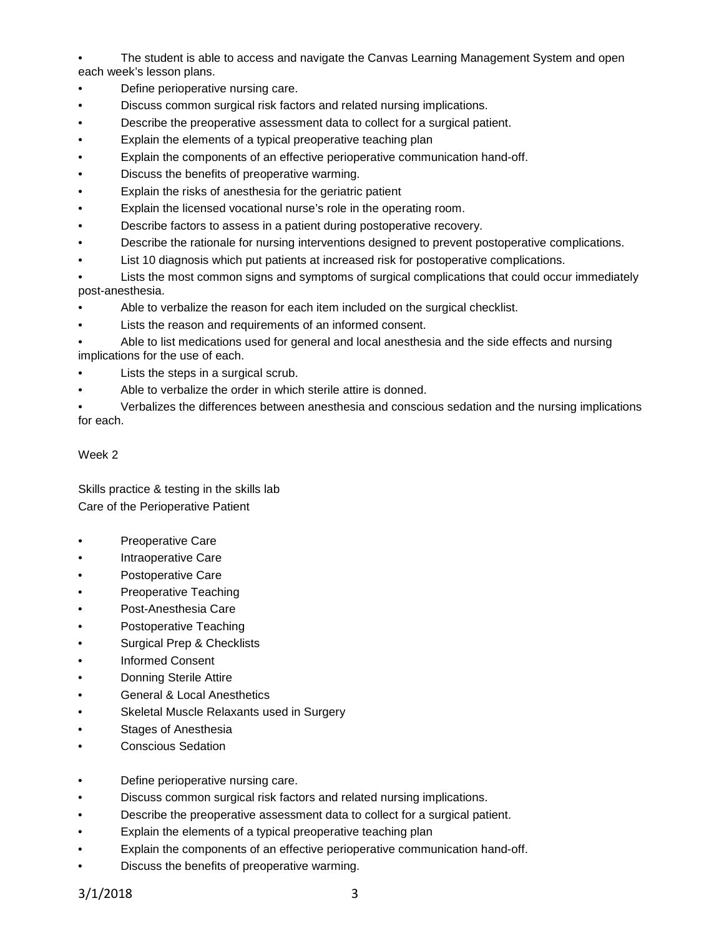• The student is able to access and navigate the Canvas Learning Management System and open each week's lesson plans.

- Define perioperative nursing care.
- Discuss common surgical risk factors and related nursing implications.
- Describe the preoperative assessment data to collect for a surgical patient.
- Explain the elements of a typical preoperative teaching plan
- Explain the components of an effective perioperative communication hand-off.
- Discuss the benefits of preoperative warming.
- Explain the risks of anesthesia for the geriatric patient
- Explain the licensed vocational nurse's role in the operating room.
- Describe factors to assess in a patient during postoperative recovery.
- Describe the rationale for nursing interventions designed to prevent postoperative complications.
- List 10 diagnosis which put patients at increased risk for postoperative complications.
- Lists the most common signs and symptoms of surgical complications that could occur immediately post-anesthesia.
- Able to verbalize the reason for each item included on the surgical checklist.
- Lists the reason and requirements of an informed consent.

• Able to list medications used for general and local anesthesia and the side effects and nursing implications for the use of each.

- Lists the steps in a surgical scrub.
- Able to verbalize the order in which sterile attire is donned.

• Verbalizes the differences between anesthesia and conscious sedation and the nursing implications for each.

## Week 2

Skills practice & testing in the skills lab Care of the Perioperative Patient

- Preoperative Care
- Intraoperative Care
- Postoperative Care
- Preoperative Teaching
- Post-Anesthesia Care
- Postoperative Teaching
- Surgical Prep & Checklists
- Informed Consent
- **Donning Sterile Attire**
- General & Local Anesthetics
- Skeletal Muscle Relaxants used in Surgery
- Stages of Anesthesia
- Conscious Sedation
- Define perioperative nursing care.
- Discuss common surgical risk factors and related nursing implications.
- Describe the preoperative assessment data to collect for a surgical patient.
- Explain the elements of a typical preoperative teaching plan
- Explain the components of an effective perioperative communication hand-off.
- Discuss the benefits of preoperative warming.

3/1/2018 3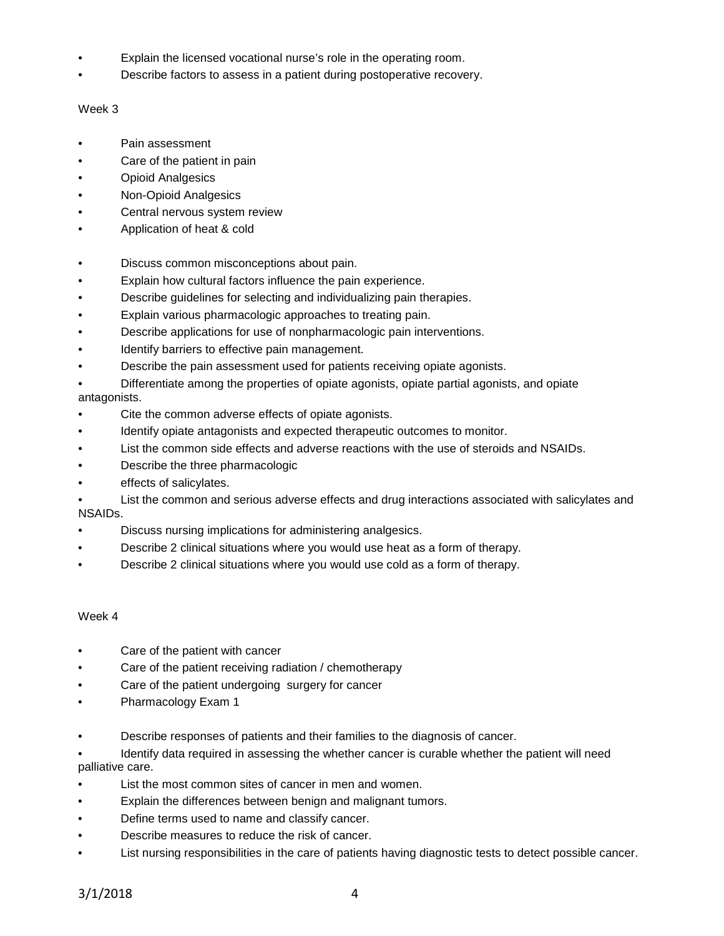- Explain the licensed vocational nurse's role in the operating room.
- Describe factors to assess in a patient during postoperative recovery.

### Week 3

- Pain assessment
- Care of the patient in pain
- Opioid Analgesics
- Non-Opioid Analgesics
- Central nervous system review
- Application of heat & cold
- Discuss common misconceptions about pain.
- Explain how cultural factors influence the pain experience.
- Describe guidelines for selecting and individualizing pain therapies.
- Explain various pharmacologic approaches to treating pain.
- Describe applications for use of nonpharmacologic pain interventions.
- Identify barriers to effective pain management.
- Describe the pain assessment used for patients receiving opiate agonists.

• Differentiate among the properties of opiate agonists, opiate partial agonists, and opiate antagonists.

- Cite the common adverse effects of opiate agonists.
- Identify opiate antagonists and expected therapeutic outcomes to monitor.
- List the common side effects and adverse reactions with the use of steroids and NSAIDs.
- Describe the three pharmacologic
- effects of salicylates.
- List the common and serious adverse effects and drug interactions associated with salicylates and NSAIDs.
- Discuss nursing implications for administering analgesics.
- Describe 2 clinical situations where you would use heat as a form of therapy.
- Describe 2 clinical situations where you would use cold as a form of therapy.

#### Week 4

- Care of the patient with cancer
- Care of the patient receiving radiation / chemotherapy
- Care of the patient undergoing surgery for cancer
- Pharmacology Exam 1
- Describe responses of patients and their families to the diagnosis of cancer.
- Identify data required in assessing the whether cancer is curable whether the patient will need palliative care.
- List the most common sites of cancer in men and women.
- Explain the differences between benign and malignant tumors.
- Define terms used to name and classify cancer.
- Describe measures to reduce the risk of cancer.
- List nursing responsibilities in the care of patients having diagnostic tests to detect possible cancer.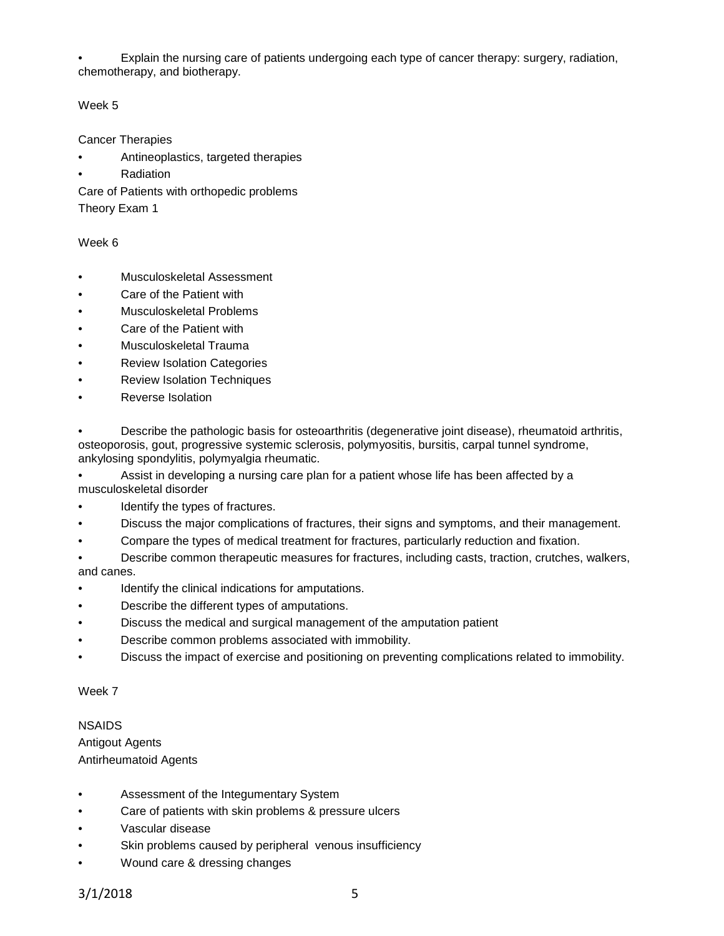• Explain the nursing care of patients undergoing each type of cancer therapy: surgery, radiation, chemotherapy, and biotherapy.

## Week 5

Cancer Therapies

- Antineoplastics, targeted therapies
- **Radiation**

Care of Patients with orthopedic problems

Theory Exam 1

## Week 6

- Musculoskeletal Assessment
- Care of the Patient with
- Musculoskeletal Problems
- Care of the Patient with
- Musculoskeletal Trauma
- Review Isolation Categories
- Review Isolation Techniques
- Reverse Isolation

• Describe the pathologic basis for osteoarthritis (degenerative joint disease), rheumatoid arthritis, osteoporosis, gout, progressive systemic sclerosis, polymyositis, bursitis, carpal tunnel syndrome, ankylosing spondylitis, polymyalgia rheumatic.

• Assist in developing a nursing care plan for a patient whose life has been affected by a musculoskeletal disorder

- Identify the types of fractures.
- Discuss the major complications of fractures, their signs and symptoms, and their management.
- Compare the types of medical treatment for fractures, particularly reduction and fixation.

• Describe common therapeutic measures for fractures, including casts, traction, crutches, walkers, and canes.

- Identify the clinical indications for amputations.
- Describe the different types of amputations.
- Discuss the medical and surgical management of the amputation patient
- Describe common problems associated with immobility.
- Discuss the impact of exercise and positioning on preventing complications related to immobility.

## Week 7

## NSAIDS

Antigout Agents Antirheumatoid Agents

- Assessment of the Integumentary System
- Care of patients with skin problems & pressure ulcers
- Vascular disease
- Skin problems caused by peripheral venous insufficiency
- Wound care & dressing changes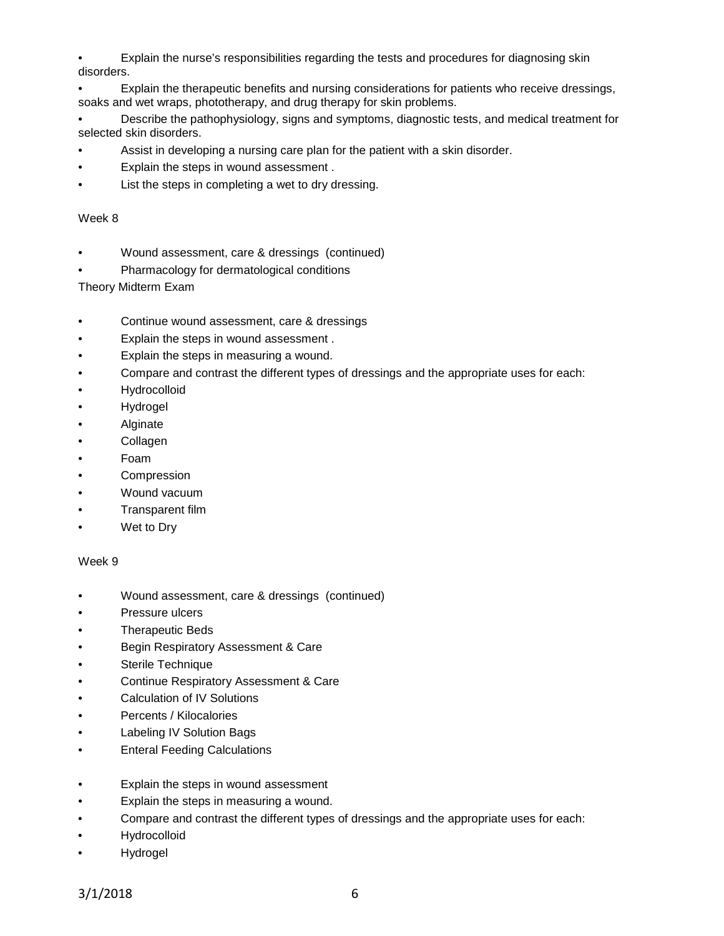• Explain the nurse's responsibilities regarding the tests and procedures for diagnosing skin disorders.

• Explain the therapeutic benefits and nursing considerations for patients who receive dressings, soaks and wet wraps, phototherapy, and drug therapy for skin problems.

• Describe the pathophysiology, signs and symptoms, diagnostic tests, and medical treatment for selected skin disorders.

- Assist in developing a nursing care plan for the patient with a skin disorder.
- Explain the steps in wound assessment .
- List the steps in completing a wet to dry dressing.

#### Week 8

- Wound assessment, care & dressings (continued)
- Pharmacology for dermatological conditions

Theory Midterm Exam

- Continue wound assessment, care & dressings
- Explain the steps in wound assessment .
- Explain the steps in measuring a wound.
- Compare and contrast the different types of dressings and the appropriate uses for each:
- Hydrocolloid
- Hydrogel
- Alginate
- Collagen
- Foam
- **Compression**
- Wound vacuum
- Transparent film
- Wet to Dry

#### Week 9

- Wound assessment, care & dressings (continued)
- Pressure ulcers
- Therapeutic Beds
- Begin Respiratory Assessment & Care
- Sterile Technique
- Continue Respiratory Assessment & Care
- Calculation of IV Solutions
- Percents / Kilocalories
- Labeling IV Solution Bags
- **Enteral Feeding Calculations**
- Explain the steps in wound assessment
- Explain the steps in measuring a wound.
- Compare and contrast the different types of dressings and the appropriate uses for each:
- Hydrocolloid
- Hydrogel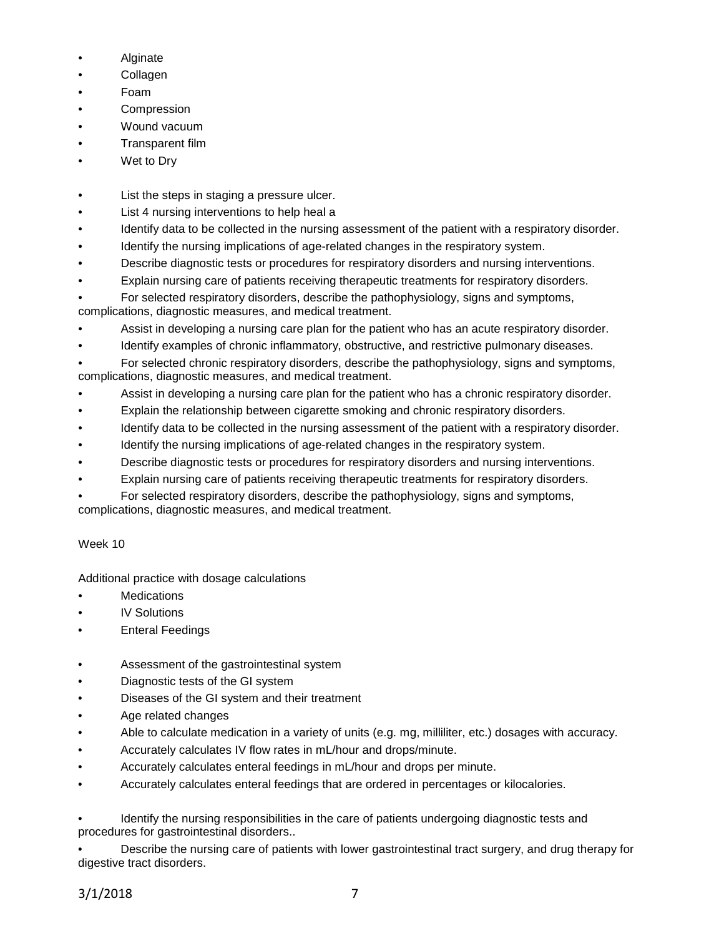- **Alginate**
- **Collagen**
- Foam
- **Compression**
- Wound vacuum
- Transparent film
- Wet to Dry
- List the steps in staging a pressure ulcer.
- List 4 nursing interventions to help heal a
- Identify data to be collected in the nursing assessment of the patient with a respiratory disorder.
- Identify the nursing implications of age-related changes in the respiratory system.
- Describe diagnostic tests or procedures for respiratory disorders and nursing interventions.
- Explain nursing care of patients receiving therapeutic treatments for respiratory disorders.
- For selected respiratory disorders, describe the pathophysiology, signs and symptoms, complications, diagnostic measures, and medical treatment.
- Assist in developing a nursing care plan for the patient who has an acute respiratory disorder.
- Identify examples of chronic inflammatory, obstructive, and restrictive pulmonary diseases.
- For selected chronic respiratory disorders, describe the pathophysiology, signs and symptoms, complications, diagnostic measures, and medical treatment.
- Assist in developing a nursing care plan for the patient who has a chronic respiratory disorder.
- Explain the relationship between cigarette smoking and chronic respiratory disorders.
- Identify data to be collected in the nursing assessment of the patient with a respiratory disorder.
- Identify the nursing implications of age-related changes in the respiratory system.
- Describe diagnostic tests or procedures for respiratory disorders and nursing interventions.
- Explain nursing care of patients receiving therapeutic treatments for respiratory disorders.
- For selected respiratory disorders, describe the pathophysiology, signs and symptoms, complications, diagnostic measures, and medical treatment.

# Week 10

Additional practice with dosage calculations

- **Medications**
- **IV Solutions**
- **Enteral Feedings**
- Assessment of the gastrointestinal system
- Diagnostic tests of the GI system
- Diseases of the GI system and their treatment
- Age related changes
- Able to calculate medication in a variety of units (e.g. mg, milliliter, etc.) dosages with accuracy.
- Accurately calculates IV flow rates in mL/hour and drops/minute.
- Accurately calculates enteral feedings in mL/hour and drops per minute.
- Accurately calculates enteral feedings that are ordered in percentages or kilocalories.

• Identify the nursing responsibilities in the care of patients undergoing diagnostic tests and procedures for gastrointestinal disorders..

• Describe the nursing care of patients with lower gastrointestinal tract surgery, and drug therapy for digestive tract disorders.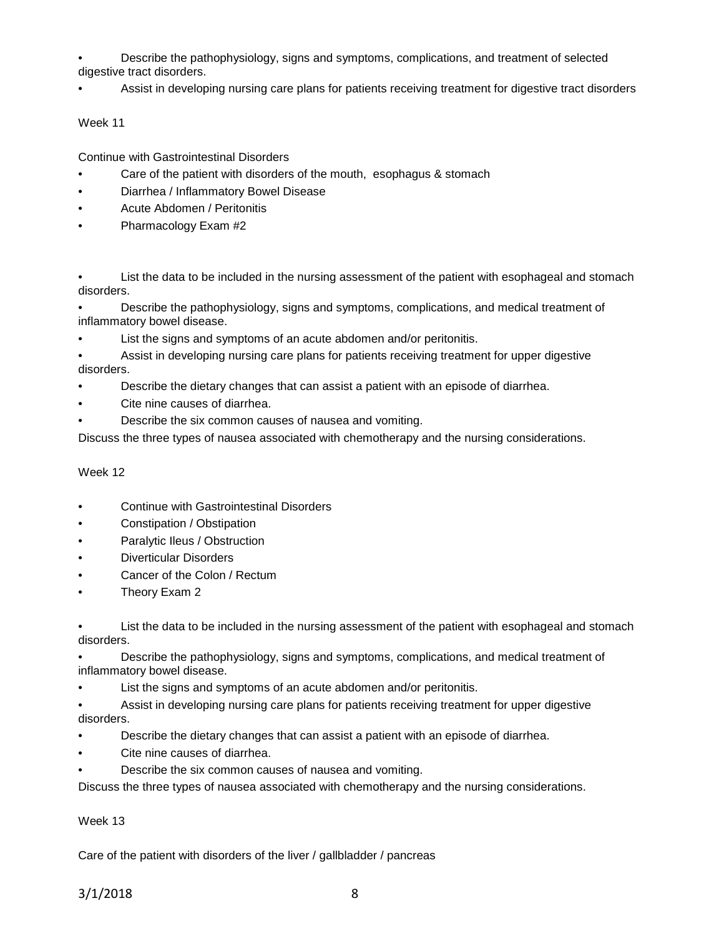• Describe the pathophysiology, signs and symptoms, complications, and treatment of selected digestive tract disorders.

• Assist in developing nursing care plans for patients receiving treatment for digestive tract disorders

## Week 11

Continue with Gastrointestinal Disorders

- Care of the patient with disorders of the mouth, esophagus & stomach
- Diarrhea / Inflammatory Bowel Disease
- Acute Abdomen / Peritonitis
- Pharmacology Exam #2

List the data to be included in the nursing assessment of the patient with esophageal and stomach disorders.

• Describe the pathophysiology, signs and symptoms, complications, and medical treatment of inflammatory bowel disease.

List the signs and symptoms of an acute abdomen and/or peritonitis.

• Assist in developing nursing care plans for patients receiving treatment for upper digestive disorders.

- Describe the dietary changes that can assist a patient with an episode of diarrhea.
- Cite nine causes of diarrhea.
- Describe the six common causes of nausea and vomiting.

Discuss the three types of nausea associated with chemotherapy and the nursing considerations.

#### Week 12

- Continue with Gastrointestinal Disorders
- Constipation / Obstipation
- Paralytic Ileus / Obstruction
- Diverticular Disorders
- Cancer of the Colon / Rectum
- Theory Exam 2

• List the data to be included in the nursing assessment of the patient with esophageal and stomach disorders.

• Describe the pathophysiology, signs and symptoms, complications, and medical treatment of inflammatory bowel disease.

List the signs and symptoms of an acute abdomen and/or peritonitis.

• Assist in developing nursing care plans for patients receiving treatment for upper digestive disorders.

- Describe the dietary changes that can assist a patient with an episode of diarrhea.
- Cite nine causes of diarrhea.
- Describe the six common causes of nausea and vomiting.

Discuss the three types of nausea associated with chemotherapy and the nursing considerations.

## Week 13

Care of the patient with disorders of the liver / gallbladder / pancreas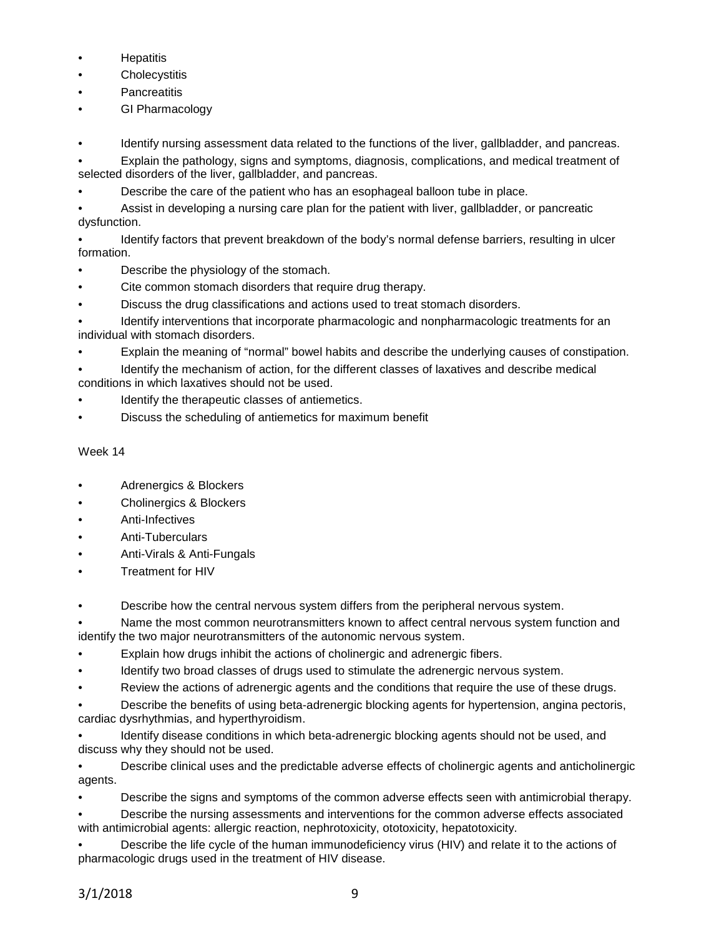- **Hepatitis**
- **Cholecystitis**
- **Pancreatitis**
- GI Pharmacology

Identify nursing assessment data related to the functions of the liver, gallbladder, and pancreas.

• Explain the pathology, signs and symptoms, diagnosis, complications, and medical treatment of selected disorders of the liver, gallbladder, and pancreas.

• Describe the care of the patient who has an esophageal balloon tube in place.

• Assist in developing a nursing care plan for the patient with liver, gallbladder, or pancreatic dysfunction.

• Identify factors that prevent breakdown of the body's normal defense barriers, resulting in ulcer formation.

- Describe the physiology of the stomach.
- Cite common stomach disorders that require drug therapy.
- Discuss the drug classifications and actions used to treat stomach disorders.

• Identify interventions that incorporate pharmacologic and nonpharmacologic treatments for an individual with stomach disorders.

• Explain the meaning of "normal" bowel habits and describe the underlying causes of constipation.

• Identify the mechanism of action, for the different classes of laxatives and describe medical conditions in which laxatives should not be used.

- Identify the therapeutic classes of antiemetics.
- Discuss the scheduling of antiemetics for maximum benefit

# Week 14

- Adrenergics & Blockers
- Cholinergics & Blockers
- Anti-Infectives
- Anti-Tuberculars
- Anti-Virals & Anti-Fungals
- Treatment for HIV

• Describe how the central nervous system differs from the peripheral nervous system.

• Name the most common neurotransmitters known to affect central nervous system function and identify the two major neurotransmitters of the autonomic nervous system.

- Explain how drugs inhibit the actions of cholinergic and adrenergic fibers.
- Identify two broad classes of drugs used to stimulate the adrenergic nervous system.
- Review the actions of adrenergic agents and the conditions that require the use of these drugs.
- Describe the benefits of using beta-adrenergic blocking agents for hypertension, angina pectoris, cardiac dysrhythmias, and hyperthyroidism.

• Identify disease conditions in which beta-adrenergic blocking agents should not be used, and discuss why they should not be used.

• Describe clinical uses and the predictable adverse effects of cholinergic agents and anticholinergic agents.

• Describe the signs and symptoms of the common adverse effects seen with antimicrobial therapy.

• Describe the nursing assessments and interventions for the common adverse effects associated with antimicrobial agents: allergic reaction, nephrotoxicity, ototoxicity, hepatotoxicity.

• Describe the life cycle of the human immunodeficiency virus (HIV) and relate it to the actions of pharmacologic drugs used in the treatment of HIV disease.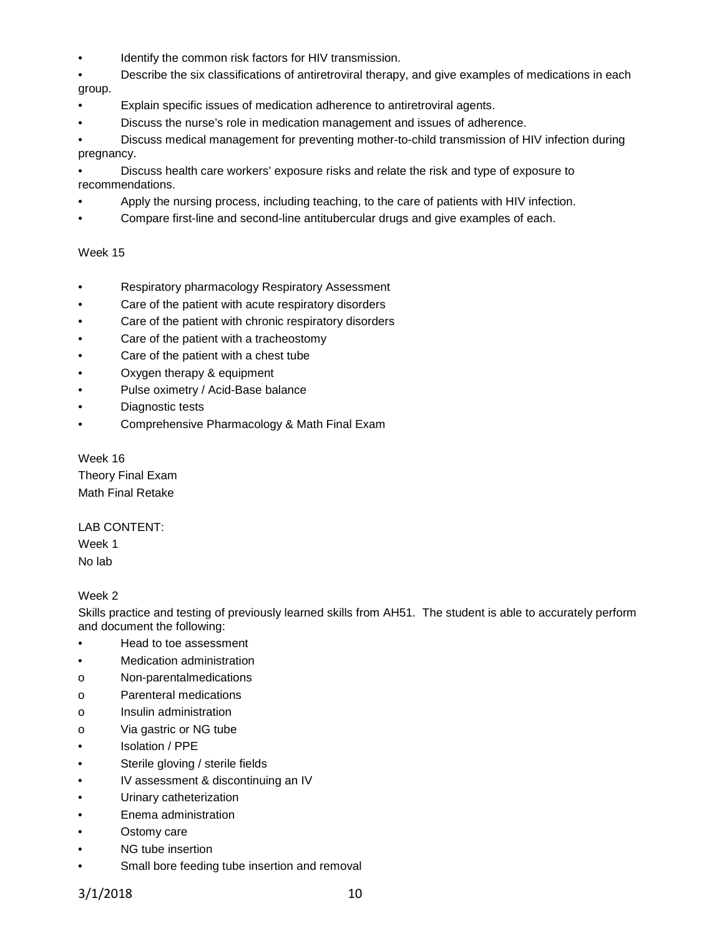Identify the common risk factors for HIV transmission.

• Describe the six classifications of antiretroviral therapy, and give examples of medications in each group.

- Explain specific issues of medication adherence to antiretroviral agents.
- Discuss the nurse's role in medication management and issues of adherence.

• Discuss medical management for preventing mother-to-child transmission of HIV infection during pregnancy.

• Discuss health care workers' exposure risks and relate the risk and type of exposure to recommendations.

- Apply the nursing process, including teaching, to the care of patients with HIV infection.
- Compare first-line and second-line antitubercular drugs and give examples of each.

## Week 15

- Respiratory pharmacology Respiratory Assessment
- Care of the patient with acute respiratory disorders
- Care of the patient with chronic respiratory disorders
- Care of the patient with a tracheostomy
- Care of the patient with a chest tube
- Oxygen therapy & equipment
- Pulse oximetry / Acid-Base balance
- Diagnostic tests
- Comprehensive Pharmacology & Math Final Exam

Week 16 Theory Final Exam Math Final Retake

## LAB CONTENT:

Week 1 No lab

## Week 2

Skills practice and testing of previously learned skills from AH51. The student is able to accurately perform and document the following:

- Head to toe assessment
- Medication administration
- o Non-parentalmedications
- o Parenteral medications
- o Insulin administration
- o Via gastric or NG tube
- Isolation / PPE
- Sterile gloving / sterile fields
- IV assessment & discontinuing an IV
- Urinary catheterization
- Enema administration
- Ostomy care
- NG tube insertion
- Small bore feeding tube insertion and removal

3/1/2018 10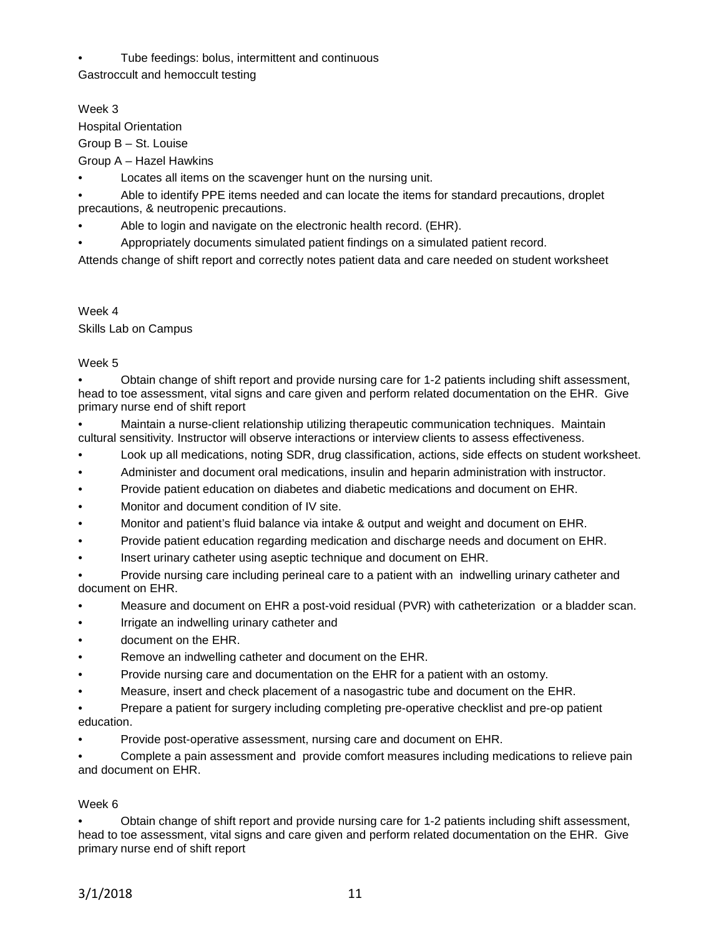• Tube feedings: bolus, intermittent and continuous

Gastroccult and hemoccult testing

Week 3

Hospital Orientation

Group B – St. Louise

Group A – Hazel Hawkins

Locates all items on the scavenger hunt on the nursing unit.

• Able to identify PPE items needed and can locate the items for standard precautions, droplet precautions, & neutropenic precautions.

- Able to login and navigate on the electronic health record. (EHR).
- Appropriately documents simulated patient findings on a simulated patient record.

Attends change of shift report and correctly notes patient data and care needed on student worksheet

Week 4

Skills Lab on Campus

## Week 5

• Obtain change of shift report and provide nursing care for 1-2 patients including shift assessment, head to toe assessment, vital signs and care given and perform related documentation on the EHR. Give primary nurse end of shift report

• Maintain a nurse-client relationship utilizing therapeutic communication techniques. Maintain cultural sensitivity. Instructor will observe interactions or interview clients to assess effectiveness.

- Look up all medications, noting SDR, drug classification, actions, side effects on student worksheet.
- Administer and document oral medications, insulin and heparin administration with instructor.
- Provide patient education on diabetes and diabetic medications and document on EHR.
- Monitor and document condition of IV site.
- Monitor and patient's fluid balance via intake & output and weight and document on EHR.
- Provide patient education regarding medication and discharge needs and document on EHR.
- Insert urinary catheter using aseptic technique and document on EHR.

• Provide nursing care including perineal care to a patient with an indwelling urinary catheter and document on EHR.

- Measure and document on EHR a post-void residual (PVR) with catheterization or a bladder scan.
- Irrigate an indwelling urinary catheter and
- document on the EHR.
- Remove an indwelling catheter and document on the EHR.
- Provide nursing care and documentation on the EHR for a patient with an ostomy.
- Measure, insert and check placement of a nasogastric tube and document on the EHR.
- Prepare a patient for surgery including completing pre-operative checklist and pre-op patient education.
- Provide post-operative assessment, nursing care and document on EHR.

• Complete a pain assessment and provide comfort measures including medications to relieve pain and document on EHR.

## Week 6

• Obtain change of shift report and provide nursing care for 1-2 patients including shift assessment, head to toe assessment, vital signs and care given and perform related documentation on the EHR. Give primary nurse end of shift report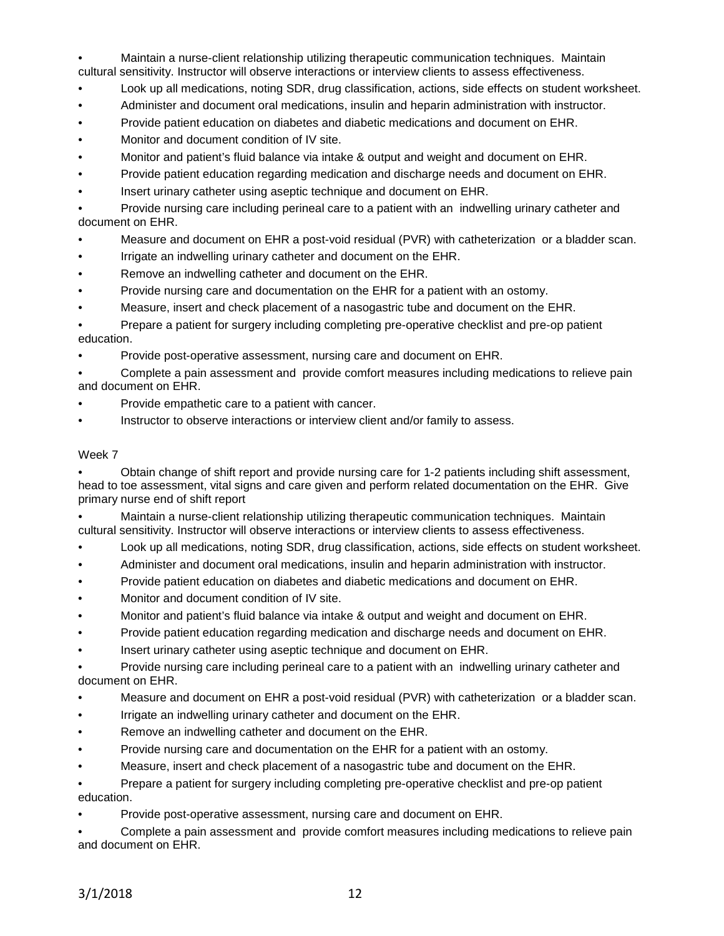• Maintain a nurse-client relationship utilizing therapeutic communication techniques. Maintain cultural sensitivity. Instructor will observe interactions or interview clients to assess effectiveness.

- Look up all medications, noting SDR, drug classification, actions, side effects on student worksheet.
- Administer and document oral medications, insulin and heparin administration with instructor.
- Provide patient education on diabetes and diabetic medications and document on EHR.
- Monitor and document condition of IV site.
- Monitor and patient's fluid balance via intake & output and weight and document on EHR.
- Provide patient education regarding medication and discharge needs and document on EHR.
- Insert urinary catheter using aseptic technique and document on EHR.

• Provide nursing care including perineal care to a patient with an indwelling urinary catheter and document on EHR.

- Measure and document on EHR a post-void residual (PVR) with catheterization or a bladder scan.
- Irrigate an indwelling urinary catheter and document on the EHR.
- Remove an indwelling catheter and document on the EHR.
- Provide nursing care and documentation on the EHR for a patient with an ostomy.
- Measure, insert and check placement of a nasogastric tube and document on the EHR.

• Prepare a patient for surgery including completing pre-operative checklist and pre-op patient education.

• Provide post-operative assessment, nursing care and document on EHR.

• Complete a pain assessment and provide comfort measures including medications to relieve pain and document on EHR.

- Provide empathetic care to a patient with cancer.
- Instructor to observe interactions or interview client and/or family to assess.

### Week 7

• Obtain change of shift report and provide nursing care for 1-2 patients including shift assessment, head to toe assessment, vital signs and care given and perform related documentation on the EHR. Give primary nurse end of shift report

• Maintain a nurse-client relationship utilizing therapeutic communication techniques. Maintain cultural sensitivity. Instructor will observe interactions or interview clients to assess effectiveness.

- Look up all medications, noting SDR, drug classification, actions, side effects on student worksheet.
- Administer and document oral medications, insulin and heparin administration with instructor.
- Provide patient education on diabetes and diabetic medications and document on EHR.
- Monitor and document condition of IV site.
- Monitor and patient's fluid balance via intake & output and weight and document on EHR.
- Provide patient education regarding medication and discharge needs and document on EHR.
- Insert urinary catheter using aseptic technique and document on EHR.

• Provide nursing care including perineal care to a patient with an indwelling urinary catheter and document on EHR.

- Measure and document on EHR a post-void residual (PVR) with catheterization or a bladder scan.
- Irrigate an indwelling urinary catheter and document on the EHR.
- Remove an indwelling catheter and document on the EHR.
- Provide nursing care and documentation on the EHR for a patient with an ostomy.
- Measure, insert and check placement of a nasogastric tube and document on the EHR.

• Prepare a patient for surgery including completing pre-operative checklist and pre-op patient education.

• Provide post-operative assessment, nursing care and document on EHR.

• Complete a pain assessment and provide comfort measures including medications to relieve pain and document on EHR.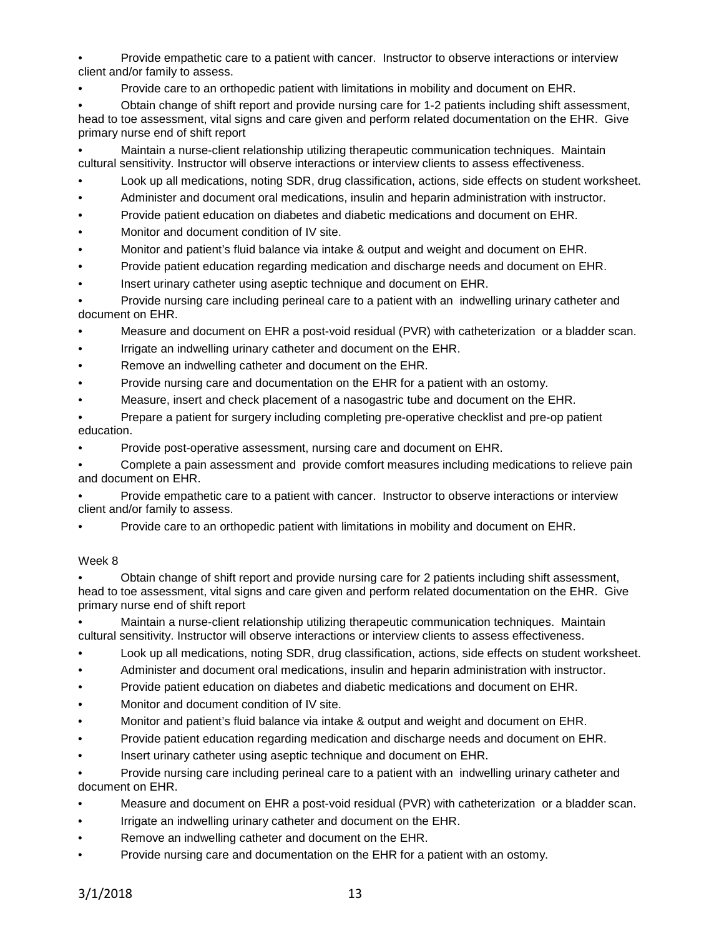• Provide empathetic care to a patient with cancer. Instructor to observe interactions or interview client and/or family to assess.

• Provide care to an orthopedic patient with limitations in mobility and document on EHR.

• Obtain change of shift report and provide nursing care for 1-2 patients including shift assessment, head to toe assessment, vital signs and care given and perform related documentation on the EHR. Give primary nurse end of shift report

• Maintain a nurse-client relationship utilizing therapeutic communication techniques. Maintain cultural sensitivity. Instructor will observe interactions or interview clients to assess effectiveness.

- Look up all medications, noting SDR, drug classification, actions, side effects on student worksheet.
- Administer and document oral medications, insulin and heparin administration with instructor.
- Provide patient education on diabetes and diabetic medications and document on EHR.
- Monitor and document condition of IV site.
- Monitor and patient's fluid balance via intake & output and weight and document on EHR.
- Provide patient education regarding medication and discharge needs and document on EHR.
- Insert urinary catheter using aseptic technique and document on EHR.

• Provide nursing care including perineal care to a patient with an indwelling urinary catheter and document on EHR.

- Measure and document on EHR a post-void residual (PVR) with catheterization or a bladder scan.
- Irrigate an indwelling urinary catheter and document on the EHR.
- Remove an indwelling catheter and document on the EHR.
- Provide nursing care and documentation on the EHR for a patient with an ostomy.
- Measure, insert and check placement of a nasogastric tube and document on the EHR.

• Prepare a patient for surgery including completing pre-operative checklist and pre-op patient education.

• Provide post-operative assessment, nursing care and document on EHR.

• Complete a pain assessment and provide comfort measures including medications to relieve pain and document on EHR.

• Provide empathetic care to a patient with cancer. Instructor to observe interactions or interview client and/or family to assess.

• Provide care to an orthopedic patient with limitations in mobility and document on EHR.

## Week 8

• Obtain change of shift report and provide nursing care for 2 patients including shift assessment, head to toe assessment, vital signs and care given and perform related documentation on the EHR. Give primary nurse end of shift report

• Maintain a nurse-client relationship utilizing therapeutic communication techniques. Maintain cultural sensitivity. Instructor will observe interactions or interview clients to assess effectiveness.

- Look up all medications, noting SDR, drug classification, actions, side effects on student worksheet.
- Administer and document oral medications, insulin and heparin administration with instructor.
- Provide patient education on diabetes and diabetic medications and document on EHR.
- Monitor and document condition of IV site.
- Monitor and patient's fluid balance via intake & output and weight and document on EHR.
- Provide patient education regarding medication and discharge needs and document on EHR.
- Insert urinary catheter using aseptic technique and document on EHR.

• Provide nursing care including perineal care to a patient with an indwelling urinary catheter and document on EHR.

- Measure and document on EHR a post-void residual (PVR) with catheterization or a bladder scan.
- Irrigate an indwelling urinary catheter and document on the EHR.
- Remove an indwelling catheter and document on the EHR.
- Provide nursing care and documentation on the EHR for a patient with an ostomy.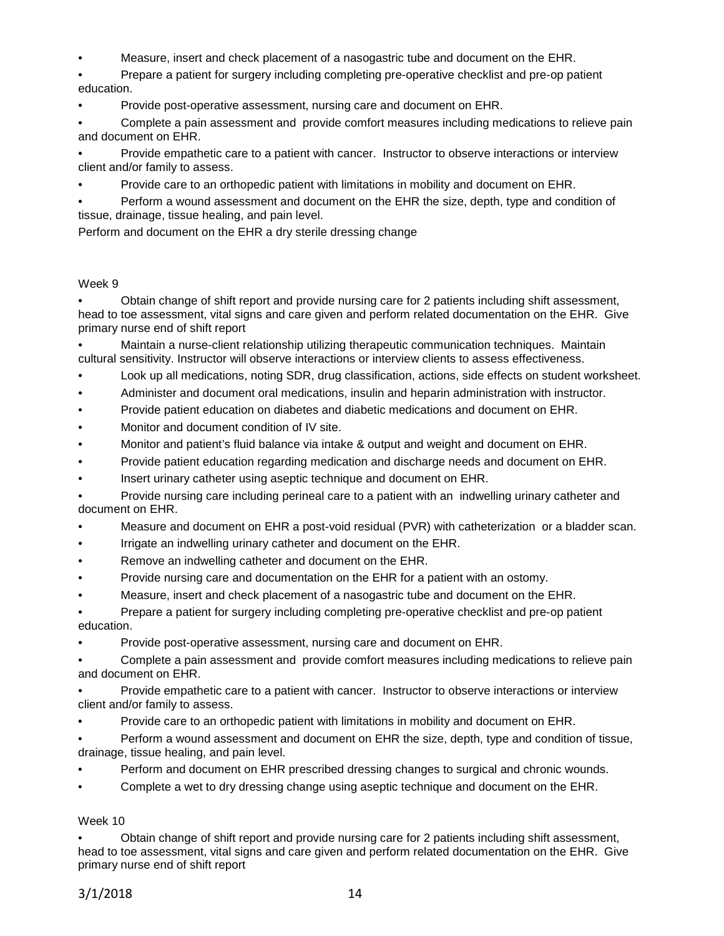• Measure, insert and check placement of a nasogastric tube and document on the EHR.

• Prepare a patient for surgery including completing pre-operative checklist and pre-op patient education.

• Provide post-operative assessment, nursing care and document on EHR.

• Complete a pain assessment and provide comfort measures including medications to relieve pain and document on EHR.

• Provide empathetic care to a patient with cancer. Instructor to observe interactions or interview client and/or family to assess.

• Provide care to an orthopedic patient with limitations in mobility and document on EHR.

• Perform a wound assessment and document on the EHR the size, depth, type and condition of tissue, drainage, tissue healing, and pain level.

Perform and document on the EHR a dry sterile dressing change

## Week 9

• Obtain change of shift report and provide nursing care for 2 patients including shift assessment, head to toe assessment, vital signs and care given and perform related documentation on the EHR. Give primary nurse end of shift report

• Maintain a nurse-client relationship utilizing therapeutic communication techniques. Maintain cultural sensitivity. Instructor will observe interactions or interview clients to assess effectiveness.

- Look up all medications, noting SDR, drug classification, actions, side effects on student worksheet.
- Administer and document oral medications, insulin and heparin administration with instructor.
- Provide patient education on diabetes and diabetic medications and document on EHR.
- Monitor and document condition of IV site.
- Monitor and patient's fluid balance via intake & output and weight and document on EHR.
- Provide patient education regarding medication and discharge needs and document on EHR.
- Insert urinary catheter using aseptic technique and document on EHR.

• Provide nursing care including perineal care to a patient with an indwelling urinary catheter and document on EHR.

- Measure and document on EHR a post-void residual (PVR) with catheterization or a bladder scan.
- Irrigate an indwelling urinary catheter and document on the EHR.
- Remove an indwelling catheter and document on the EHR.
- Provide nursing care and documentation on the EHR for a patient with an ostomy.
- Measure, insert and check placement of a nasogastric tube and document on the EHR.

• Prepare a patient for surgery including completing pre-operative checklist and pre-op patient education.

• Provide post-operative assessment, nursing care and document on EHR.

• Complete a pain assessment and provide comfort measures including medications to relieve pain and document on EHR.

• Provide empathetic care to a patient with cancer. Instructor to observe interactions or interview client and/or family to assess.

• Provide care to an orthopedic patient with limitations in mobility and document on EHR.

• Perform a wound assessment and document on EHR the size, depth, type and condition of tissue, drainage, tissue healing, and pain level.

- Perform and document on EHR prescribed dressing changes to surgical and chronic wounds.
- Complete a wet to dry dressing change using aseptic technique and document on the EHR.

## Week 10

• Obtain change of shift report and provide nursing care for 2 patients including shift assessment, head to toe assessment, vital signs and care given and perform related documentation on the EHR. Give primary nurse end of shift report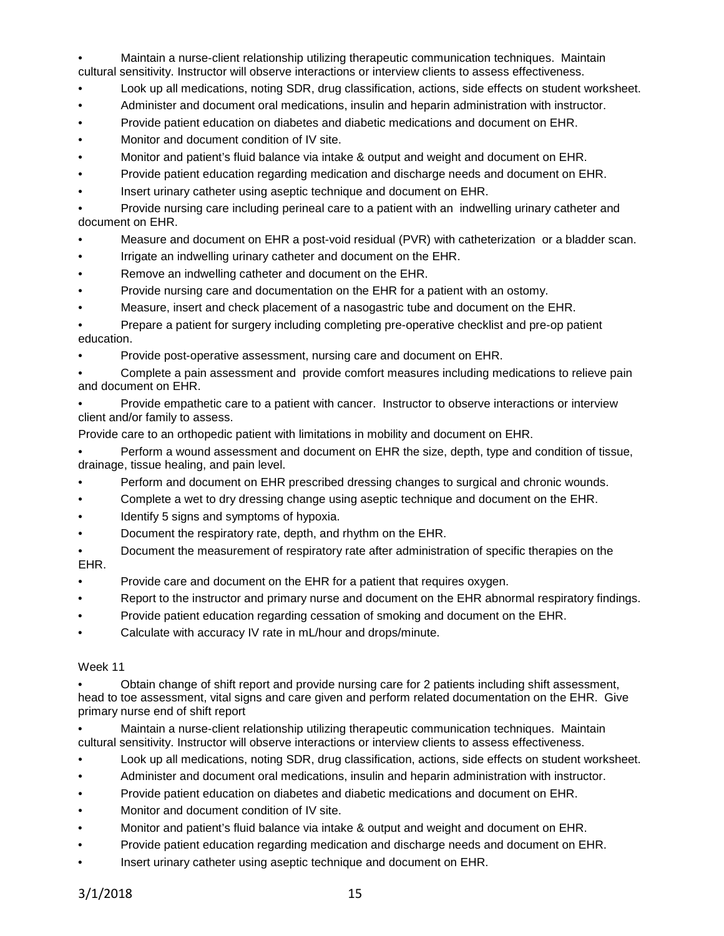• Maintain a nurse-client relationship utilizing therapeutic communication techniques. Maintain cultural sensitivity. Instructor will observe interactions or interview clients to assess effectiveness.

- Look up all medications, noting SDR, drug classification, actions, side effects on student worksheet.
- Administer and document oral medications, insulin and heparin administration with instructor.
- Provide patient education on diabetes and diabetic medications and document on EHR.
- Monitor and document condition of IV site.
- Monitor and patient's fluid balance via intake & output and weight and document on EHR.
- Provide patient education regarding medication and discharge needs and document on EHR.
- Insert urinary catheter using aseptic technique and document on EHR.

• Provide nursing care including perineal care to a patient with an indwelling urinary catheter and document on EHR.

- Measure and document on EHR a post-void residual (PVR) with catheterization or a bladder scan.
- Irrigate an indwelling urinary catheter and document on the EHR.
- Remove an indwelling catheter and document on the EHR.
- Provide nursing care and documentation on the EHR for a patient with an ostomy.
- Measure, insert and check placement of a nasogastric tube and document on the EHR.

• Prepare a patient for surgery including completing pre-operative checklist and pre-op patient education.

• Provide post-operative assessment, nursing care and document on EHR.

• Complete a pain assessment and provide comfort measures including medications to relieve pain and document on EHR.

• Provide empathetic care to a patient with cancer. Instructor to observe interactions or interview client and/or family to assess.

Provide care to an orthopedic patient with limitations in mobility and document on EHR.

• Perform a wound assessment and document on EHR the size, depth, type and condition of tissue, drainage, tissue healing, and pain level.

- Perform and document on EHR prescribed dressing changes to surgical and chronic wounds.
- Complete a wet to dry dressing change using aseptic technique and document on the EHR.
- Identify 5 signs and symptoms of hypoxia.
- Document the respiratory rate, depth, and rhythm on the EHR.
- Document the measurement of respiratory rate after administration of specific therapies on the EHR.
- Provide care and document on the EHR for a patient that requires oxygen.
- Report to the instructor and primary nurse and document on the EHR abnormal respiratory findings.
- Provide patient education regarding cessation of smoking and document on the EHR.
- Calculate with accuracy IV rate in mL/hour and drops/minute.

#### Week 11

• Obtain change of shift report and provide nursing care for 2 patients including shift assessment, head to toe assessment, vital signs and care given and perform related documentation on the EHR. Give primary nurse end of shift report

• Maintain a nurse-client relationship utilizing therapeutic communication techniques. Maintain cultural sensitivity. Instructor will observe interactions or interview clients to assess effectiveness.

- Look up all medications, noting SDR, drug classification, actions, side effects on student worksheet.
- Administer and document oral medications, insulin and heparin administration with instructor.
- Provide patient education on diabetes and diabetic medications and document on EHR.
- Monitor and document condition of IV site.
- Monitor and patient's fluid balance via intake & output and weight and document on EHR.
- Provide patient education regarding medication and discharge needs and document on EHR.
- Insert urinary catheter using aseptic technique and document on EHR.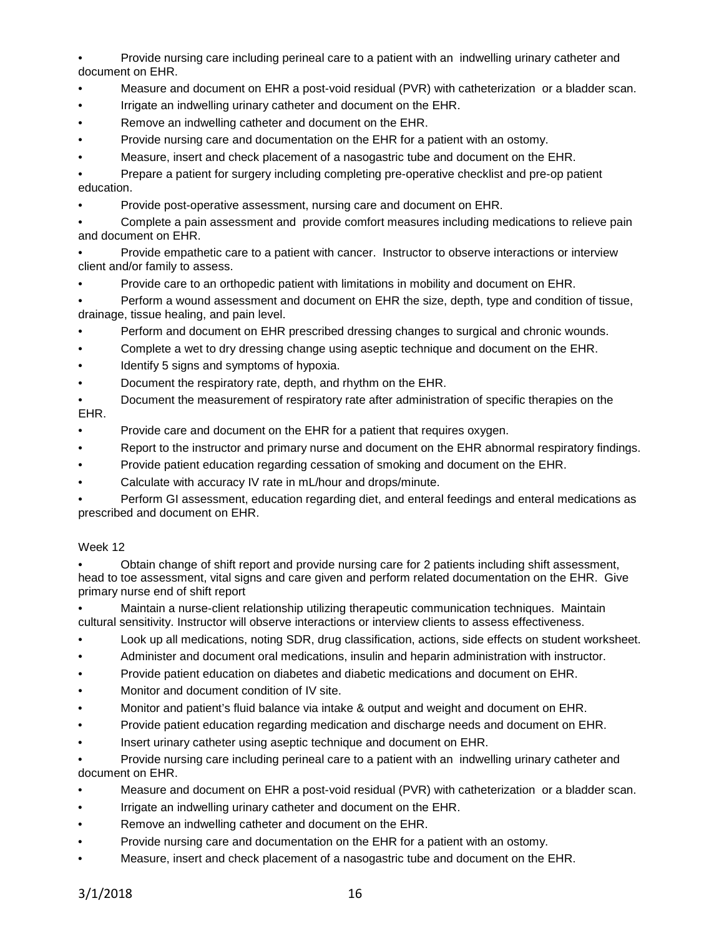Provide nursing care including perineal care to a patient with an indwelling urinary catheter and document on EHR.

- Measure and document on EHR a post-void residual (PVR) with catheterization or a bladder scan.
- Irrigate an indwelling urinary catheter and document on the EHR.
- Remove an indwelling catheter and document on the EHR.
- Provide nursing care and documentation on the EHR for a patient with an ostomy.
- Measure, insert and check placement of a nasogastric tube and document on the EHR.

• Prepare a patient for surgery including completing pre-operative checklist and pre-op patient education.

• Provide post-operative assessment, nursing care and document on EHR.

• Complete a pain assessment and provide comfort measures including medications to relieve pain and document on EHR.

• Provide empathetic care to a patient with cancer. Instructor to observe interactions or interview client and/or family to assess.

• Provide care to an orthopedic patient with limitations in mobility and document on EHR.

• Perform a wound assessment and document on EHR the size, depth, type and condition of tissue, drainage, tissue healing, and pain level.

- Perform and document on EHR prescribed dressing changes to surgical and chronic wounds.
- Complete a wet to dry dressing change using aseptic technique and document on the EHR.
- Identify 5 signs and symptoms of hypoxia.
- Document the respiratory rate, depth, and rhythm on the EHR.

• Document the measurement of respiratory rate after administration of specific therapies on the EHR.

- Provide care and document on the EHR for a patient that requires oxygen.
- Report to the instructor and primary nurse and document on the EHR abnormal respiratory findings.
- Provide patient education regarding cessation of smoking and document on the EHR.
- Calculate with accuracy IV rate in mL/hour and drops/minute.

• Perform GI assessment, education regarding diet, and enteral feedings and enteral medications as prescribed and document on EHR.

## Week 12

• Obtain change of shift report and provide nursing care for 2 patients including shift assessment, head to toe assessment, vital signs and care given and perform related documentation on the EHR. Give primary nurse end of shift report

• Maintain a nurse-client relationship utilizing therapeutic communication techniques. Maintain cultural sensitivity. Instructor will observe interactions or interview clients to assess effectiveness.

- Look up all medications, noting SDR, drug classification, actions, side effects on student worksheet.
- Administer and document oral medications, insulin and heparin administration with instructor.
- Provide patient education on diabetes and diabetic medications and document on EHR.
- Monitor and document condition of IV site.
- Monitor and patient's fluid balance via intake & output and weight and document on EHR.
- Provide patient education regarding medication and discharge needs and document on EHR.
- Insert urinary catheter using aseptic technique and document on EHR.

• Provide nursing care including perineal care to a patient with an indwelling urinary catheter and document on EHR.

- Measure and document on EHR a post-void residual (PVR) with catheterization or a bladder scan.
- Irrigate an indwelling urinary catheter and document on the EHR.
- Remove an indwelling catheter and document on the EHR.
- Provide nursing care and documentation on the EHR for a patient with an ostomy.
- Measure, insert and check placement of a nasogastric tube and document on the EHR.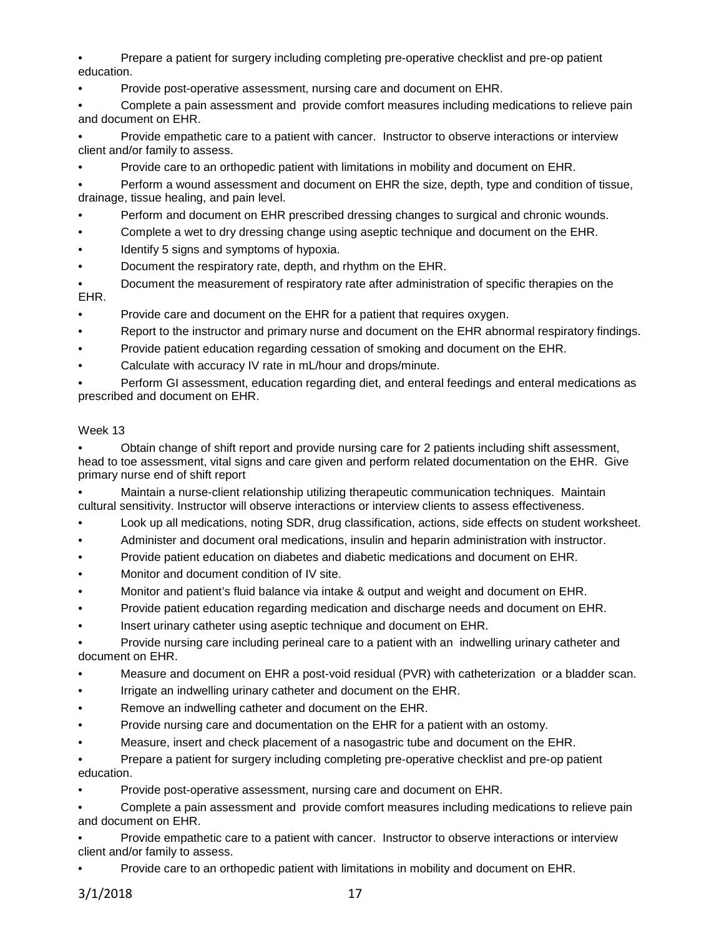• Prepare a patient for surgery including completing pre-operative checklist and pre-op patient education.

• Provide post-operative assessment, nursing care and document on EHR.

• Complete a pain assessment and provide comfort measures including medications to relieve pain and document on EHR.

• Provide empathetic care to a patient with cancer. Instructor to observe interactions or interview client and/or family to assess.

• Provide care to an orthopedic patient with limitations in mobility and document on EHR.

• Perform a wound assessment and document on EHR the size, depth, type and condition of tissue, drainage, tissue healing, and pain level.

- Perform and document on EHR prescribed dressing changes to surgical and chronic wounds.
- Complete a wet to dry dressing change using aseptic technique and document on the EHR.
- Identify 5 signs and symptoms of hypoxia.
- Document the respiratory rate, depth, and rhythm on the EHR.

• Document the measurement of respiratory rate after administration of specific therapies on the EHR.

- Provide care and document on the EHR for a patient that requires oxygen.
- Report to the instructor and primary nurse and document on the EHR abnormal respiratory findings.
- Provide patient education regarding cessation of smoking and document on the EHR.
- Calculate with accuracy IV rate in mL/hour and drops/minute.

• Perform GI assessment, education regarding diet, and enteral feedings and enteral medications as prescribed and document on EHR.

### Week 13

• Obtain change of shift report and provide nursing care for 2 patients including shift assessment, head to toe assessment, vital signs and care given and perform related documentation on the EHR. Give primary nurse end of shift report

• Maintain a nurse-client relationship utilizing therapeutic communication techniques. Maintain cultural sensitivity. Instructor will observe interactions or interview clients to assess effectiveness.

- Look up all medications, noting SDR, drug classification, actions, side effects on student worksheet.
- Administer and document oral medications, insulin and heparin administration with instructor.
- Provide patient education on diabetes and diabetic medications and document on EHR.
- Monitor and document condition of IV site.
- Monitor and patient's fluid balance via intake & output and weight and document on EHR.
- Provide patient education regarding medication and discharge needs and document on EHR.
- Insert urinary catheter using aseptic technique and document on EHR.

• Provide nursing care including perineal care to a patient with an indwelling urinary catheter and document on EHR.

- Measure and document on EHR a post-void residual (PVR) with catheterization or a bladder scan.
- Irrigate an indwelling urinary catheter and document on the EHR.
- Remove an indwelling catheter and document on the EHR.
- Provide nursing care and documentation on the EHR for a patient with an ostomy.
- Measure, insert and check placement of a nasogastric tube and document on the EHR.

• Prepare a patient for surgery including completing pre-operative checklist and pre-op patient education.

• Provide post-operative assessment, nursing care and document on EHR.

• Complete a pain assessment and provide comfort measures including medications to relieve pain and document on EHR.

• Provide empathetic care to a patient with cancer. Instructor to observe interactions or interview client and/or family to assess.

• Provide care to an orthopedic patient with limitations in mobility and document on EHR.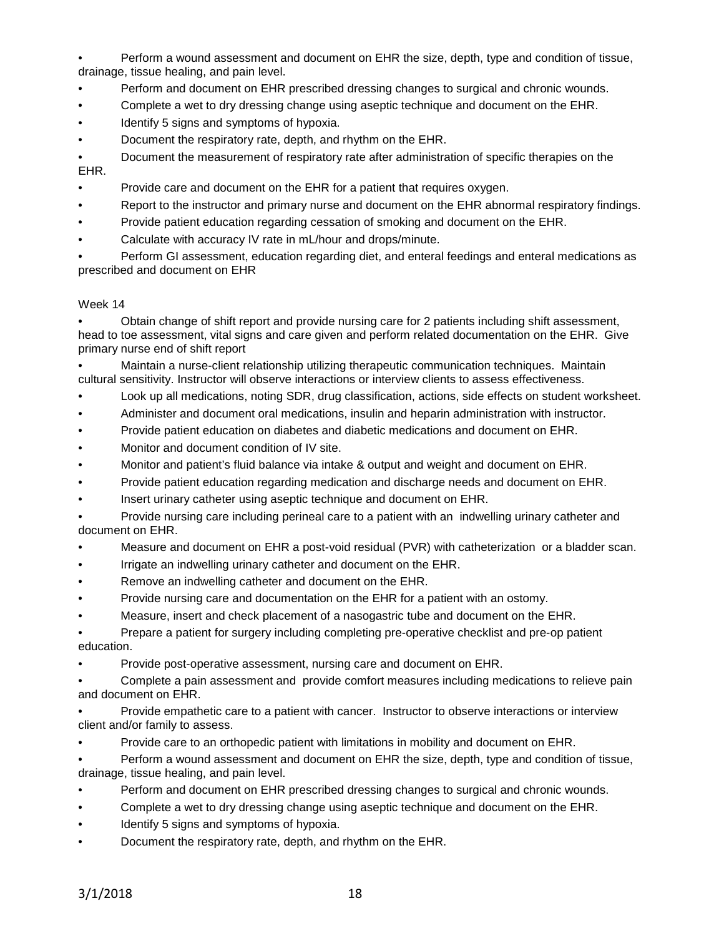• Perform a wound assessment and document on EHR the size, depth, type and condition of tissue, drainage, tissue healing, and pain level.

- Perform and document on EHR prescribed dressing changes to surgical and chronic wounds.
- Complete a wet to dry dressing change using aseptic technique and document on the EHR.
- Identify 5 signs and symptoms of hypoxia.
- Document the respiratory rate, depth, and rhythm on the EHR.

• Document the measurement of respiratory rate after administration of specific therapies on the EHR.

- Provide care and document on the EHR for a patient that requires oxygen.
- Report to the instructor and primary nurse and document on the EHR abnormal respiratory findings.
- Provide patient education regarding cessation of smoking and document on the EHR.
- Calculate with accuracy IV rate in mL/hour and drops/minute.

• Perform GI assessment, education regarding diet, and enteral feedings and enteral medications as prescribed and document on EHR

### Week 14

• Obtain change of shift report and provide nursing care for 2 patients including shift assessment, head to toe assessment, vital signs and care given and perform related documentation on the EHR. Give primary nurse end of shift report

• Maintain a nurse-client relationship utilizing therapeutic communication techniques. Maintain cultural sensitivity. Instructor will observe interactions or interview clients to assess effectiveness.

- Look up all medications, noting SDR, drug classification, actions, side effects on student worksheet.
- Administer and document oral medications, insulin and heparin administration with instructor.
- Provide patient education on diabetes and diabetic medications and document on EHR.
- Monitor and document condition of IV site.
- Monitor and patient's fluid balance via intake & output and weight and document on EHR.
- Provide patient education regarding medication and discharge needs and document on EHR.
- Insert urinary catheter using aseptic technique and document on EHR.

• Provide nursing care including perineal care to a patient with an indwelling urinary catheter and document on EHR.

- Measure and document on EHR a post-void residual (PVR) with catheterization or a bladder scan.
- Irrigate an indwelling urinary catheter and document on the EHR.
- Remove an indwelling catheter and document on the EHR.
- Provide nursing care and documentation on the EHR for a patient with an ostomy.
- Measure, insert and check placement of a nasogastric tube and document on the EHR.

• Prepare a patient for surgery including completing pre-operative checklist and pre-op patient education.

• Provide post-operative assessment, nursing care and document on EHR.

• Complete a pain assessment and provide comfort measures including medications to relieve pain and document on EHR.

• Provide empathetic care to a patient with cancer. Instructor to observe interactions or interview client and/or family to assess.

• Provide care to an orthopedic patient with limitations in mobility and document on EHR.

• Perform a wound assessment and document on EHR the size, depth, type and condition of tissue, drainage, tissue healing, and pain level.

- Perform and document on EHR prescribed dressing changes to surgical and chronic wounds.
- Complete a wet to dry dressing change using aseptic technique and document on the EHR.
- Identify 5 signs and symptoms of hypoxia.
- Document the respiratory rate, depth, and rhythm on the EHR.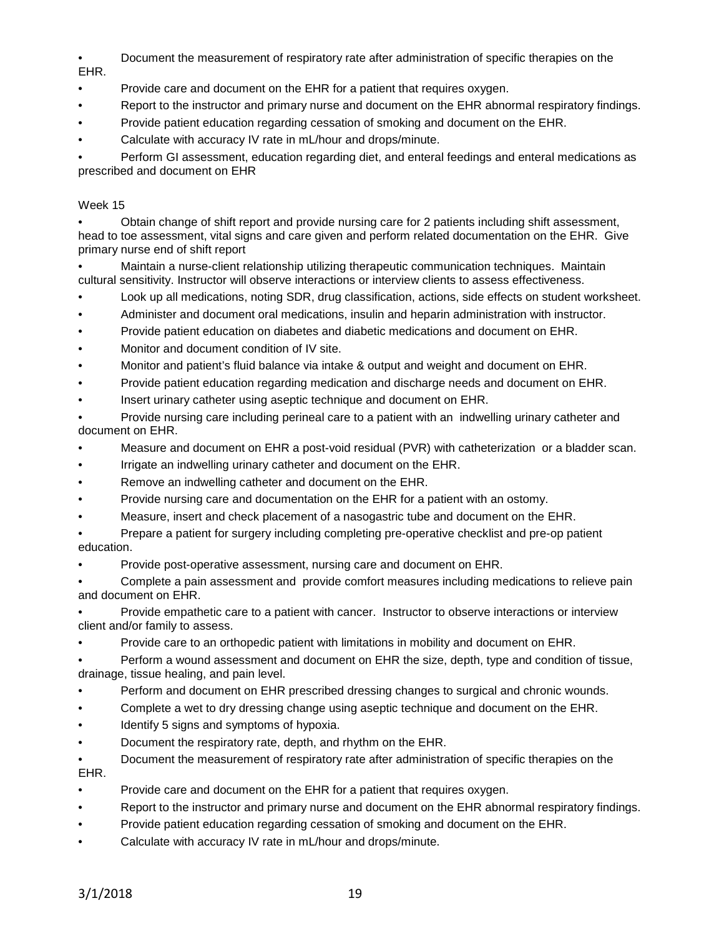- Document the measurement of respiratory rate after administration of specific therapies on the EHR.
- Provide care and document on the EHR for a patient that requires oxygen.
- Report to the instructor and primary nurse and document on the EHR abnormal respiratory findings.
- Provide patient education regarding cessation of smoking and document on the EHR.
- Calculate with accuracy IV rate in mL/hour and drops/minute.

• Perform GI assessment, education regarding diet, and enteral feedings and enteral medications as prescribed and document on EHR

## Week 15

• Obtain change of shift report and provide nursing care for 2 patients including shift assessment, head to toe assessment, vital signs and care given and perform related documentation on the EHR. Give primary nurse end of shift report

• Maintain a nurse-client relationship utilizing therapeutic communication techniques. Maintain cultural sensitivity. Instructor will observe interactions or interview clients to assess effectiveness.

- Look up all medications, noting SDR, drug classification, actions, side effects on student worksheet.
- Administer and document oral medications, insulin and heparin administration with instructor.
- Provide patient education on diabetes and diabetic medications and document on EHR.
- Monitor and document condition of IV site.
- Monitor and patient's fluid balance via intake & output and weight and document on EHR.
- Provide patient education regarding medication and discharge needs and document on EHR.
- Insert urinary catheter using aseptic technique and document on EHR.

• Provide nursing care including perineal care to a patient with an indwelling urinary catheter and document on EHR.

- Measure and document on EHR a post-void residual (PVR) with catheterization or a bladder scan.
- Irrigate an indwelling urinary catheter and document on the EHR.
- Remove an indwelling catheter and document on the EHR.
- Provide nursing care and documentation on the EHR for a patient with an ostomy.
- Measure, insert and check placement of a nasogastric tube and document on the EHR.

• Prepare a patient for surgery including completing pre-operative checklist and pre-op patient education.

• Provide post-operative assessment, nursing care and document on EHR.

• Complete a pain assessment and provide comfort measures including medications to relieve pain and document on EHR.

• Provide empathetic care to a patient with cancer. Instructor to observe interactions or interview client and/or family to assess.

• Provide care to an orthopedic patient with limitations in mobility and document on EHR.

• Perform a wound assessment and document on EHR the size, depth, type and condition of tissue, drainage, tissue healing, and pain level.

- Perform and document on EHR prescribed dressing changes to surgical and chronic wounds.
- Complete a wet to dry dressing change using aseptic technique and document on the EHR.
- Identify 5 signs and symptoms of hypoxia.
- Document the respiratory rate, depth, and rhythm on the EHR.

• Document the measurement of respiratory rate after administration of specific therapies on the EHR.

- Provide care and document on the EHR for a patient that requires oxygen.
- Report to the instructor and primary nurse and document on the EHR abnormal respiratory findings.
- Provide patient education regarding cessation of smoking and document on the EHR.
- Calculate with accuracy IV rate in mL/hour and drops/minute.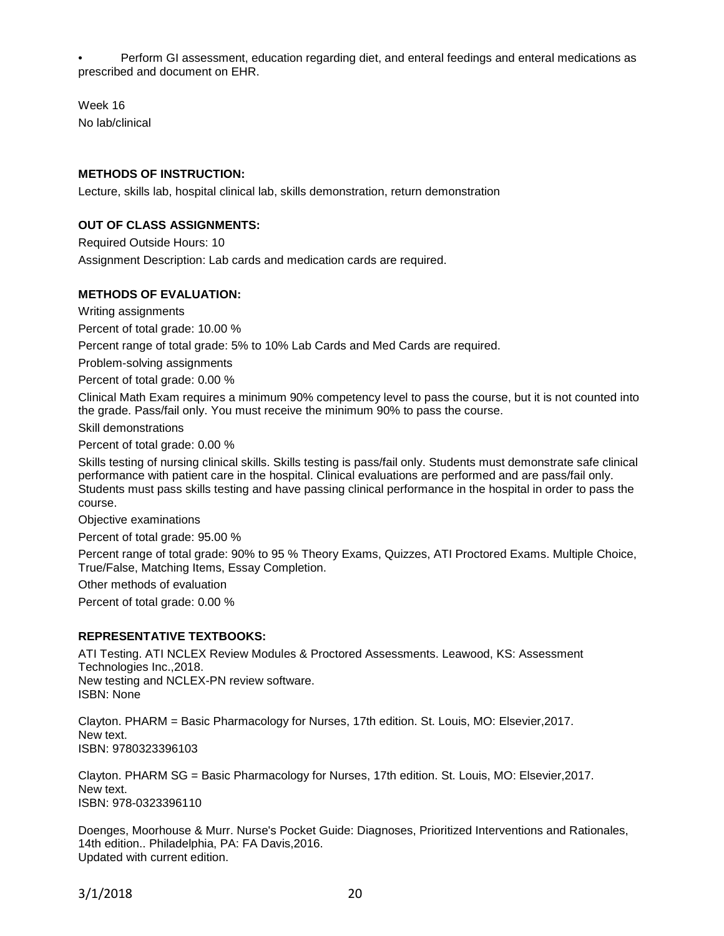• Perform GI assessment, education regarding diet, and enteral feedings and enteral medications as prescribed and document on EHR.

Week 16 No lab/clinical

## **METHODS OF INSTRUCTION:**

Lecture, skills lab, hospital clinical lab, skills demonstration, return demonstration

## **OUT OF CLASS ASSIGNMENTS:**

Required Outside Hours: 10 Assignment Description: Lab cards and medication cards are required.

### **METHODS OF EVALUATION:**

Writing assignments

Percent of total grade: 10.00 %

Percent range of total grade: 5% to 10% Lab Cards and Med Cards are required.

Problem-solving assignments

Percent of total grade: 0.00 %

Clinical Math Exam requires a minimum 90% competency level to pass the course, but it is not counted into the grade. Pass/fail only. You must receive the minimum 90% to pass the course.

Skill demonstrations

Percent of total grade: 0.00 %

Skills testing of nursing clinical skills. Skills testing is pass/fail only. Students must demonstrate safe clinical performance with patient care in the hospital. Clinical evaluations are performed and are pass/fail only. Students must pass skills testing and have passing clinical performance in the hospital in order to pass the course.

Objective examinations

Percent of total grade: 95.00 %

Percent range of total grade: 90% to 95 % Theory Exams, Quizzes, ATI Proctored Exams. Multiple Choice, True/False, Matching Items, Essay Completion.

Other methods of evaluation

Percent of total grade: 0.00 %

#### **REPRESENTATIVE TEXTBOOKS:**

ATI Testing. ATI NCLEX Review Modules & Proctored Assessments. Leawood, KS: Assessment Technologies Inc.,2018. New testing and NCLEX-PN review software. ISBN: None

Clayton. PHARM = Basic Pharmacology for Nurses, 17th edition. St. Louis, MO: Elsevier,2017. New text. ISBN: 9780323396103

Clayton. PHARM SG = Basic Pharmacology for Nurses, 17th edition. St. Louis, MO: Elsevier,2017. New text. ISBN: 978-0323396110

Doenges, Moorhouse & Murr. Nurse's Pocket Guide: Diagnoses, Prioritized Interventions and Rationales, 14th edition.. Philadelphia, PA: FA Davis,2016. Updated with current edition.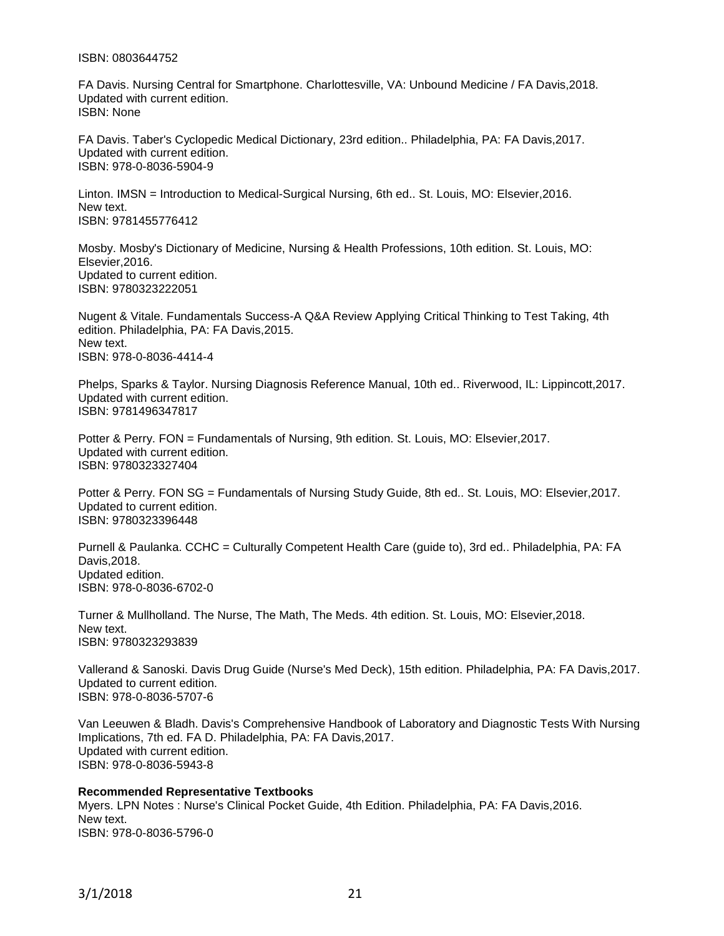#### ISBN: 0803644752

FA Davis. Nursing Central for Smartphone. Charlottesville, VA: Unbound Medicine / FA Davis,2018. Updated with current edition. ISBN: None

FA Davis. Taber's Cyclopedic Medical Dictionary, 23rd edition.. Philadelphia, PA: FA Davis,2017. Updated with current edition. ISBN: 978-0-8036-5904-9

Linton. IMSN = Introduction to Medical-Surgical Nursing, 6th ed.. St. Louis, MO: Elsevier,2016. New text. ISBN: 9781455776412

Mosby. Mosby's Dictionary of Medicine, Nursing & Health Professions, 10th edition. St. Louis, MO: Elsevier,2016. Updated to current edition. ISBN: 9780323222051

Nugent & Vitale. Fundamentals Success-A Q&A Review Applying Critical Thinking to Test Taking, 4th edition. Philadelphia, PA: FA Davis,2015. New text. ISBN: 978-0-8036-4414-4

Phelps, Sparks & Taylor. Nursing Diagnosis Reference Manual, 10th ed.. Riverwood, IL: Lippincott,2017. Updated with current edition. ISBN: 9781496347817

Potter & Perry. FON = Fundamentals of Nursing, 9th edition. St. Louis, MO: Elsevier,2017. Updated with current edition. ISBN: 9780323327404

Potter & Perry. FON SG = Fundamentals of Nursing Study Guide, 8th ed.. St. Louis, MO: Elsevier,2017. Updated to current edition. ISBN: 9780323396448

Purnell & Paulanka. CCHC = Culturally Competent Health Care (guide to), 3rd ed.. Philadelphia, PA: FA Davis,2018. Updated edition. ISBN: 978-0-8036-6702-0

Turner & Mullholland. The Nurse, The Math, The Meds. 4th edition. St. Louis, MO: Elsevier,2018. New text. ISBN: 9780323293839

Vallerand & Sanoski. Davis Drug Guide (Nurse's Med Deck), 15th edition. Philadelphia, PA: FA Davis,2017. Updated to current edition. ISBN: 978-0-8036-5707-6

Van Leeuwen & Bladh. Davis's Comprehensive Handbook of Laboratory and Diagnostic Tests With Nursing Implications, 7th ed. FA D. Philadelphia, PA: FA Davis,2017. Updated with current edition. ISBN: 978-0-8036-5943-8

**Recommended Representative Textbooks** Myers. LPN Notes : Nurse's Clinical Pocket Guide, 4th Edition. Philadelphia, PA: FA Davis,2016. New text. ISBN: 978-0-8036-5796-0